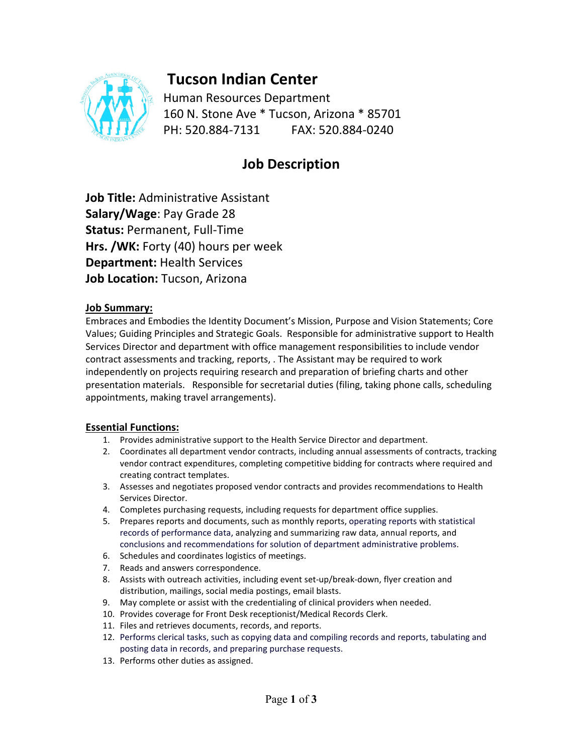

# **Tucson Indian Center**

Human Resources Department 160 N. Stone Ave \* Tucson, Arizona \* 85701 PH: 520.884-7131 FAX: 520.884-0240

## **Job Description**

**Job Title:** Administrative Assistant **Salary/Wage**: Pay Grade 28 **Status:** Permanent, Full-Time **Hrs. /WK:** Forty (40) hours per week **Department:** Health Services **Job Location:** Tucson, Arizona

### **Job Summary:**

Embraces and Embodies the Identity Document's Mission, Purpose and Vision Statements; Core Values; Guiding Principles and Strategic Goals. Responsible for administrative support to Health Services Director and department with office management responsibilities to include vendor contract assessments and tracking, reports, . The Assistant may be required to work independently on projects requiring research and preparation of briefing charts and other presentation materials. Responsible for secretarial duties (filing, taking phone calls, scheduling appointments, making travel arrangements).

#### **Essential Functions:**

- 1. Provides administrative support to the Health Service Director and department.
- 2. Coordinates all department vendor contracts, including annual assessments of contracts, tracking vendor contract expenditures, completing competitive bidding for contracts where required and creating contract templates.
- 3. Assesses and negotiates proposed vendor contracts and provides recommendations to Health Services Director.
- 4. Completes purchasing requests, including requests for department office supplies.
- 5. Prepares reports and documents, such as monthly reports, operating reports with statistical records of performance data, analyzing and summarizing raw data, annual reports, and conclusions and recommendations for solution of department administrative problems.
- 6. Schedules and coordinates logistics of meetings.
- 7. Reads and answers correspondence.
- 8. Assists with outreach activities, including event set-up/break-down, flyer creation and distribution, mailings, social media postings, email blasts.
- 9. May complete or assist with the credentialing of clinical providers when needed.
- 10. Provides coverage for Front Desk receptionist/Medical Records Clerk.
- 11. Files and retrieves documents, records, and reports.
- 12. Performs clerical tasks, such as copying data and compiling records and reports, tabulating and posting data in records, and preparing purchase requests.
- 13. Performs other duties as assigned.